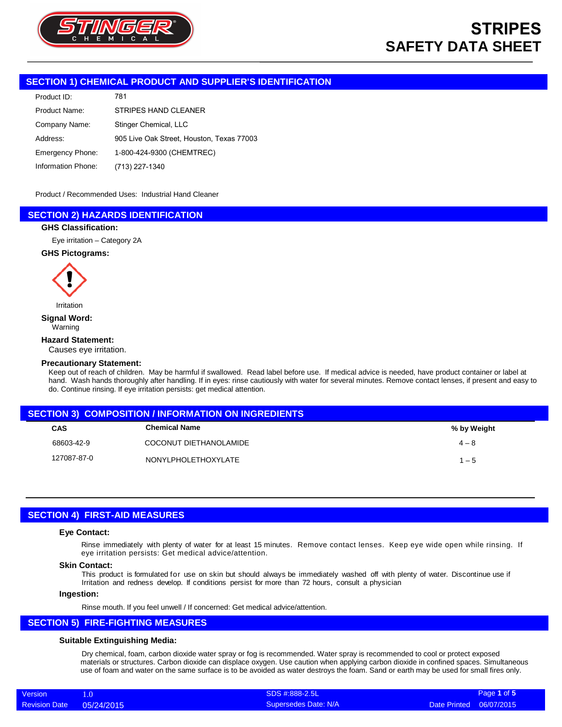

### **SECTION 1) CHEMICAL PRODUCT AND SUPPLIER'S IDENTIFICATION**

| 781                                       |
|-------------------------------------------|
| STRIPES HAND CLEANER                      |
| Stinger Chemical, LLC                     |
| 905 Live Oak Street, Houston, Texas 77003 |
| 1-800-424-9300 (CHEMTREC)                 |
| (713) 227-1340                            |
|                                           |

Product / Recommended Uses: Industrial Hand Cleaner

### **SECTION 2) HAZARDS IDENTIFICATION**

### **GHS Classification:**

Eye irritation – Category 2A

### **GHS Pictograms:**



Irritation

#### **Signal Word:** Warning

### **Hazard Statement:**

Causes eye irritation.

#### **Precautionary Statement:**

Keep out of reach of children. May be harmful if swallowed. Read label before use. If medical advice is needed, have product container or label at hand. Wash hands thoroughly after handling. If in eyes: rinse cautiously with water for several minutes. Remove contact lenses, if present and easy to do. Continue rinsing. If eye irritation persists: get medical attention.

| <b>SECTION 3) COMPOSITION / INFORMATION ON INGREDIENTS</b> |                            |             |  |  |
|------------------------------------------------------------|----------------------------|-------------|--|--|
| <b>CAS</b>                                                 | Chemical Name              | % by Weight |  |  |
| 68603-42-9                                                 | COCONUT DIETHANOLAMIDE     | $4 - 8$     |  |  |
| 127087-87-0                                                | <b>NONYLPHOLETHOXYLATE</b> | $1 - 5$     |  |  |

## **SECTION 4) FIRST-AID MEASURES**

#### **Eye Contact:**

Rinse immediately with plenty of water for at least 15 minutes. Remove contact lenses. Keep eye wide open while rinsing. If eye irritation persists: Get medical advice/attention.

### **Skin Contact:**

This product is formulated for use on skin but should always be immediately washed off with plenty of water. Discontinue use if Irritation and redness develop. If conditions persist for more than 72 hours, consult a physician

### **Ingestion:**

Rinse mouth. If you feel unwell / If concerned: Get medical advice/attention.

### **SECTION 5) FIRE-FIGHTING MEASURES**

### **Suitable Extinguishing Media:**

Dry chemical, foam, carbon dioxide water spray or fog is recommended. Water spray is recommended to cool or protect exposed materials or structures. Carbon dioxide can displace oxygen. Use caution when applying carbon dioxide in confined spaces. Simultaneous use of foam and water on the same surface is to be avoided as water destroys the foam. Sand or earth may be used for small fires only.

| Version                  | SDS #:888-2.5L       | Page 1 of 5             |
|--------------------------|----------------------|-------------------------|
| Revision Date 05/24/2015 | Supersedes Date: N/A | Date Printed 06/07/2015 |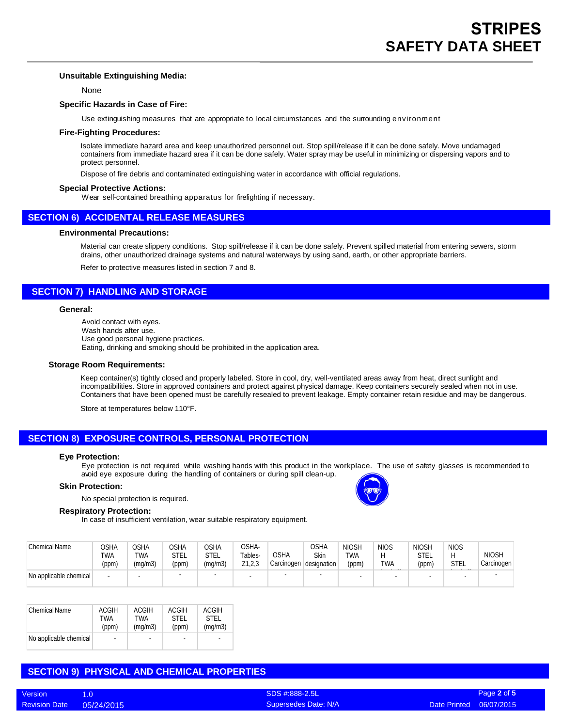### **Unsuitable Extinguishing Media:**

None

### **Specific Hazards in Case of Fire:**

Use extinguishing measures that are appropriate to local circumstances and the surrounding environment

### **Fire-Fighting Procedures:**

Isolate immediate hazard area and keep unauthorized personnel out. Stop spill/release if it can be done safely. Move undamaged containers from immediate hazard area if it can be done safely. Water spray may be useful in minimizing or dispersing vapors and to protect personnel.

Dispose of fire debris and contaminated extinguishing water in accordance with official regulations.

#### **Special Protective Actions:**

Wear self-contained breathing apparatus for firefighting if necessary.

### **SECTION 6) ACCIDENTAL RELEASE MEASURES**

### **Environmental Precautions:**

Material can create slippery conditions. Stop spill/release if it can be done safely. Prevent spilled material from entering sewers, storm drains, other unauthorized drainage systems and natural waterways by using sand, earth, or other appropriate barriers.

Refer to protective measures listed in section 7 and 8.

### **SECTION 7) HANDLING AND STORAGE**

#### **General:**

Avoid contact with eyes. Wash hands after use. Use good personal hygiene practices. Eating, drinking and smoking should be prohibited in the application area.

#### **Storage Room Requirements:**

Keep container(s) tightly closed and properly labeled. Store in cool, dry, well-ventilated areas away from heat, direct sunlight and incompatibilities. Store in approved containers and protect against physical damage. Keep containers securely sealed when not in use. Containers that have been opened must be carefully resealed to prevent leakage. Empty container retain residue and may be dangerous.

Store at temperatures below 110°F.

### **SECTION 8) EXPOSURE CONTROLS, PERSONAL PROTECTION**

#### **Eye Protection:**

Eye protection is not required while washing hands with this product in the workplace. The use of safety glasses is recommended to avoid eye exposure during the handling of containers or during spill clean-up.

#### **Skin Protection:**

No special protection is required.

### **Respiratory Protection:**

In case of insufficient ventilation, wear suitable respiratory equipment.

| Chemical Name          | <b>CSHA</b><br>TWA<br>(ppm) | <b>OSHA</b><br>TWA<br>(mq/m3) | OSHA<br><b>STEL</b><br>(ppm) | OSHA<br>stel<br>(mg/m3) | OSHA-<br>Tables-<br>Z1,2,3 | <b>OSHA</b><br>Carcinogen designation | <b>OSHA</b><br><b>Skin</b> | <b>NIOSH</b><br>TWA<br>(ppm) | <b>NIOS</b><br>TWA | <b>NIOSH</b><br><b>STEL</b><br>(ppm) | <b>NIOS</b><br>H<br>STEL | <b>NIOSH</b><br>Carcinogen |
|------------------------|-----------------------------|-------------------------------|------------------------------|-------------------------|----------------------------|---------------------------------------|----------------------------|------------------------------|--------------------|--------------------------------------|--------------------------|----------------------------|
| No applicable chemical |                             |                               |                              | -                       | $\overline{\phantom{0}}$   |                                       |                            | $\sim$                       |                    | <b>.</b>                             | -                        |                            |

| <b>Chemical Name</b>   | <b>ACGIH</b> | ACGIH   | ACGIH       | <b>ACGIH</b>             |
|------------------------|--------------|---------|-------------|--------------------------|
|                        | TWA          | TWA     | <b>STEL</b> | <b>STEL</b>              |
|                        | (ppm)        | (mq/m3) | (ppm)       | (mq/m3)                  |
| No applicable chemical | $\sim$       | ۰       | ٠           | $\overline{\phantom{a}}$ |

### **SECTION 9) PHYSICAL AND CHEMICAL PROPERTIES**



SDS #:888-2.5L Supersedes Date: N/A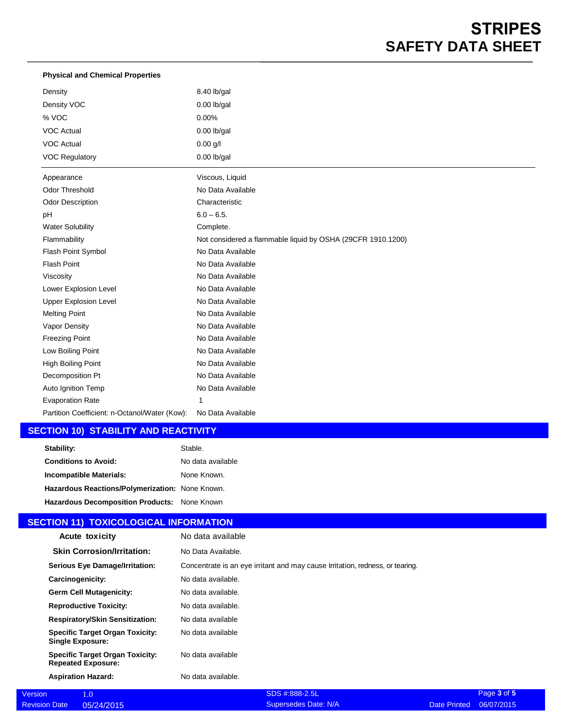# **STRIPES SAFETY DATA SHEET**

| <b>Physical and Chemical Properties</b>       |                                                             |
|-----------------------------------------------|-------------------------------------------------------------|
| Density                                       | 8.40 lb/gal                                                 |
| Density VOC                                   | $0.00$ lb/gal                                               |
| % VOC                                         | 0.00%                                                       |
| <b>VOC Actual</b>                             | $0.00$ lb/gal                                               |
| <b>VOC Actual</b>                             | $0.00$ g/l                                                  |
| <b>VOC Regulatory</b>                         | $0.00$ lb/gal                                               |
| Appearance                                    | Viscous, Liquid                                             |
| <b>Odor Threshold</b>                         | No Data Available                                           |
| <b>Odor Description</b>                       | Characteristic                                              |
| pH                                            | $6.0 - 6.5$ .                                               |
| <b>Water Solubility</b>                       | Complete.                                                   |
| Flammability                                  | Not considered a flammable liquid by OSHA (29CFR 1910.1200) |
| Flash Point Symbol                            | No Data Available                                           |
| <b>Flash Point</b>                            | No Data Available                                           |
| Viscosity                                     | No Data Available                                           |
| Lower Explosion Level                         | No Data Available                                           |
| <b>Upper Explosion Level</b>                  | No Data Available                                           |
| <b>Melting Point</b>                          | No Data Available                                           |
| Vapor Density                                 | No Data Available                                           |
| <b>Freezing Point</b>                         | No Data Available                                           |
| Low Boiling Point                             | No Data Available                                           |
| High Boiling Point                            | No Data Available                                           |
| Decomposition Pt                              | No Data Available                                           |
| Auto Ignition Temp                            | No Data Available                                           |
| <b>Evaporation Rate</b>                       |                                                             |
| Partition Coefficient: n-Octanol/Water (Kow): | No Data Available                                           |

## **SECTION 10) STABILITY AND REACTIVITY**

| Stability:                                      | Stable.           |
|-------------------------------------------------|-------------------|
| <b>Conditions to Avoid:</b>                     | No data available |
| Incompatible Materials:                         | None Known.       |
| Hazardous Reactions/Polymerization: None Known. |                   |
| Hazardous Decomposition Products: None Known    |                   |

# **SECTION 11) TOXICOLOGICAL INFORMATION**

Revision Date

| Acute toxicity                                                      | No data available                                                             |
|---------------------------------------------------------------------|-------------------------------------------------------------------------------|
| <b>Skin Corrosion/Irritation:</b>                                   | No Data Available.                                                            |
| <b>Serious Eye Damage/Irritation:</b>                               | Concentrate is an eye irritant and may cause Irritation, redness, or tearing. |
| Carcinogenicity:                                                    | No data available.                                                            |
| <b>Germ Cell Mutagenicity:</b>                                      | No data available.                                                            |
| <b>Reproductive Toxicity:</b>                                       | No data available.                                                            |
| <b>Respiratory/Skin Sensitization:</b>                              | No data available                                                             |
| <b>Specific Target Organ Toxicity:</b><br><b>Single Exposure:</b>   | No data available                                                             |
| <b>Specific Target Organ Toxicity:</b><br><b>Repeated Exposure:</b> | No data available                                                             |
| <b>Aspiration Hazard:</b>                                           | No data available.                                                            |
| 1.0                                                                 | SDS #:888-2.5L                                                                |

| <b>Version</b>       |            | SDS #:888-2.5L       | Page 3 of 5             |
|----------------------|------------|----------------------|-------------------------|
| <b>Revision Date</b> | 05/24/2015 | Supersedes Date: N/A | Date Printed 06/07/2015 |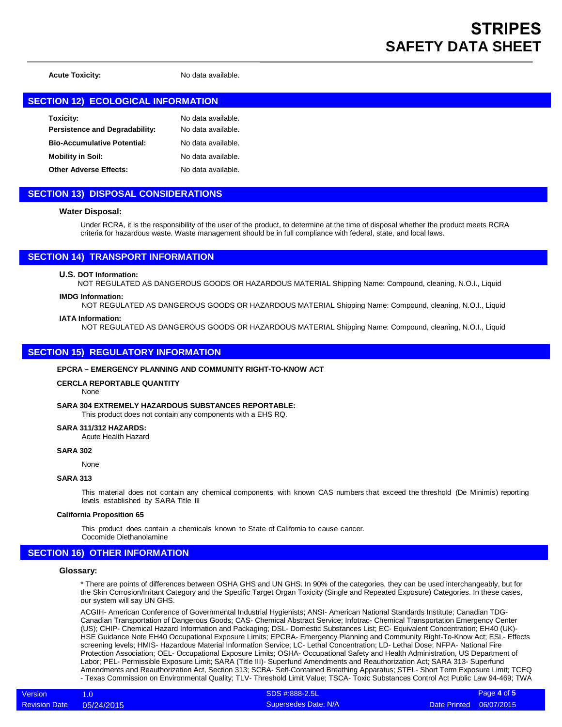**Acute Toxicity:** No data available.

### **SECTION 12) ECOLOGICAL INFORMATION**

| Toxicity:                          | No data available. |
|------------------------------------|--------------------|
| Persistence and Degradability:     | No data available. |
| <b>Bio-Accumulative Potential:</b> | No data available. |
| <b>Mobility in Soil:</b>           | No data available. |
| <b>Other Adverse Effects:</b>      | No data available. |

### **SECTION 13) DISPOSAL CONSIDERATIONS**

### **Water Disposal:**

Under RCRA, it is the responsibility of the user of the product, to determine at the time of disposal whether the product meets RCRA criteria for hazardous waste. Waste management should be in full compliance with federal, state, and local laws.

### **SECTION 14) TRANSPORT INFORMATION**

### **U.S. DOT Information:**

NOT REGULATED AS DANGEROUS GOODS OR HAZARDOUS MATERIAL Shipping Name: Compound, cleaning, N.O.I., Liquid

### **IMDG Information:**

NOT REGULATED AS DANGEROUS GOODS OR HAZARDOUS MATERIAL Shipping Name: Compound, cleaning, N.O.I., Liquid

### **IATA Information:**

NOT REGULATED AS DANGEROUS GOODS OR HAZARDOUS MATERIAL Shipping Name: Compound, cleaning, N.O.I., Liquid

### **SECTION 15) REGULATORY INFORMATION**

### **EPCRA – EMERGENCY PLANNING AND COMMUNITY RIGHT-TO-KNOW ACT**

#### **CERCLA REPORTABLE QUANTITY**

None

### **SARA 304 EXTREMELY HAZARDOUS SUBSTANCES REPORTABLE:**

This product does not contain any components with a EHS RQ.

### **SARA 311/312 HAZARDS:**

Acute Health Hazard

### **SARA 302**

None

### **SARA 313**

This material does not contain any chemical components with known CAS numbers that exceed the threshold (De Minimis) reporting levels established by SARA Title III

#### **California Proposition 65**

This product does contain a chemicals known to State of California to cause cancer.

Cocomide Diethanolamine

### **SECTION 16) OTHER INFORMATION**

#### **Glossary:**

\* There are points of differences between OSHA GHS and UN GHS. In 90% of the categories, they can be used interchangeably, but for the Skin Corrosion/Irritant Category and the Specific Target Organ Toxicity (Single and Repeated Exposure) Categories. In these cases, our system will say UN GHS.

ACGIH- American Conference of Governmental Industrial Hygienists; ANSI- American National Standards Institute; Canadian TDG-Canadian Transportation of Dangerous Goods; CAS- Chemical Abstract Service; Infotrac- Chemical Transportation Emergency Center (US); CHIP- Chemical Hazard Information and Packaging; DSL- Domestic Substances List; EC- Equivalent Concentration; EH40 (UK)- HSE Guidance Note EH40 Occupational Exposure Limits; EPCRA- Emergency Planning and Community Right-To-Know Act; ESL- Effects screening levels; HMIS- Hazardous Material Information Service; LC- Lethal Concentration; LD- Lethal Dose; NFPA- National Fire Protection Association; OEL- Occupational Exposure Limits; OSHA- Occupational Safety and Health Administration, US Department of Labor; PEL- Permissible Exposure Limit; SARA (Title III)- Superfund Amendments and Reauthorization Act; SARA 313- Superfund Amendments and Reauthorization Act, Section 313; SCBA- Self-Contained Breathing Apparatus; STEL- Short Term Exposure Limit; TCEQ - Texas Commission on Environmental Quality; TLV- Threshold Limit Value; TSCA- Toxic Substances Control Act Public Law 94-469; TWA

SDS #:888-2.5L Supersedes Date: N/A